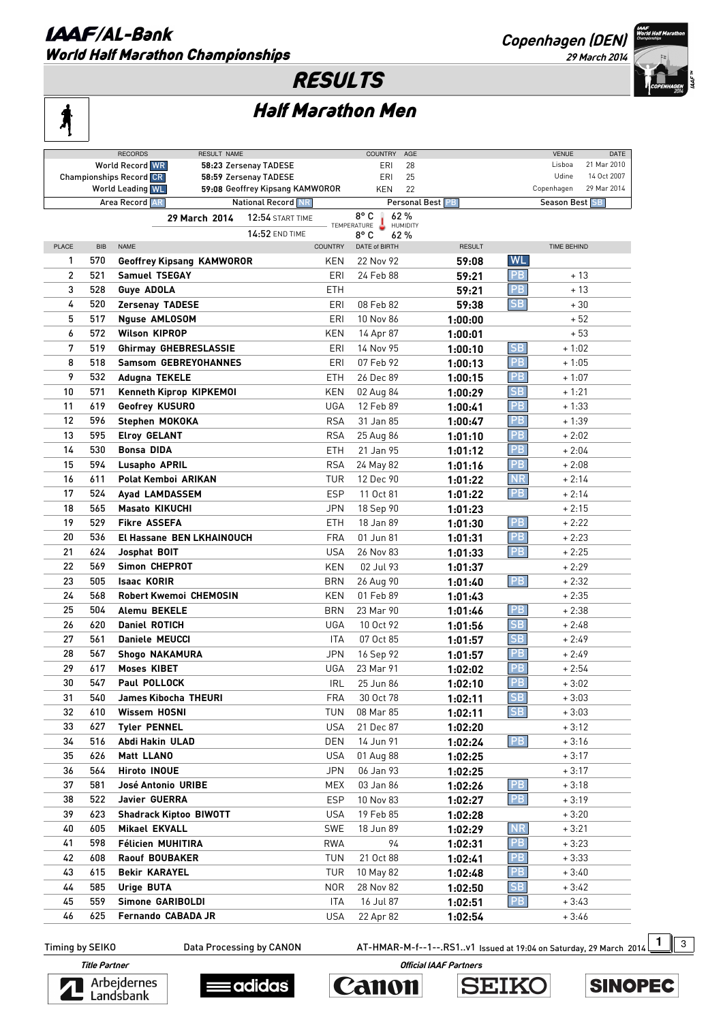#### **LAAF/AL-Bank** World Half Marathon Championships

**Copenhagen (DEN)** 



## RESULTS

# Ą

## Half Marathon Men

|              |            | <b>RECORDS</b><br>RESULT NAME    |                                 |                | <b>COUNTRY</b> | AGE             |                  |           | <b>VENUE</b>   | DATE        |
|--------------|------------|----------------------------------|---------------------------------|----------------|----------------|-----------------|------------------|-----------|----------------|-------------|
|              |            | <b>World Record WR</b>           | 58:23 Zersenay TADESE           |                | ERI            | 28              |                  |           | Lisboa         | 21 Mar 2010 |
|              |            | <b>Championships Record CR</b>   | 58:59 Zersenay TADESE           |                | ERI            | 25              |                  |           | Udine          | 14 Oct 2007 |
|              |            | World Leading WL                 | 59:08 Geoffrey Kipsang KAMWOROR |                | KEN            | 22              |                  |           | Copenhagen     | 29 Mar 2014 |
|              |            | Area Record AR                   | National Record NR              |                |                |                 | Personal Best PB |           | Season Best SB |             |
|              |            | 29 March 2014                    | <b>12:54 START TIME</b>         |                | $8^{\circ}$ C  | 62%             |                  |           |                |             |
|              |            |                                  |                                 |                | TEMPERATURE    | <b>HUMIDITY</b> |                  |           |                |             |
|              |            | <b>NAME</b>                      | 14:52 END TIME                  |                | 8° C           | 62%             |                  |           |                |             |
| <b>PLACE</b> | <b>BIB</b> |                                  |                                 | <b>COUNTRY</b> | DATE of BIRTH  |                 | <b>RESULT</b>    |           | TIME BEHIND    |             |
| 1            | 570        | <b>Geoffrey Kipsang KAMWOROR</b> |                                 | KEN            | 22 Nov 92      |                 | 59:08            | <b>WL</b> |                |             |
| 2            | 521        | <b>Samuel TSEGAY</b>             |                                 | ERI            | 24 Feb 88      |                 | 59:21            | PB        | + 13           |             |
| 3            | 528        | <b>Guye ADOLA</b>                |                                 | ETH            |                |                 | 59:21            | PB        | + 13           |             |
| 4            | 520        | <b>Zersenay TADESE</b>           |                                 | ERI            | 08 Feb 82      |                 | 59:38            | SB        | + 30           |             |
| 5            | 517        | <b>Nguse AMLOSOM</b>             |                                 | ERI            | 10 Nov 86      |                 | 1:00:00          |           | $+52$          |             |
| 6            | 572        | <b>Wilson KIPROP</b>             |                                 | KEN            | 14 Apr 87      |                 | 1:00:01          |           | $+53$          |             |
| 7            | 519        | <b>Ghirmay GHEBRESLASSIE</b>     |                                 | ERI            | 14 Nov 95      |                 |                  | SB        | $+1:02$        |             |
|              |            |                                  |                                 |                |                |                 | 1:00:10          |           |                |             |
| 8            | 518        | <b>Samsom GEBREYOHANNES</b>      |                                 | ERI            | 07 Feb 92      |                 | 1:00:13          | PB        | $+1:05$        |             |
| 9            | 532        | Adugna TEKELE                    |                                 | <b>ETH</b>     | 26 Dec 89      |                 | 1:00:15          | PB        | $+1:07$        |             |
| 10           | 571        | Kenneth Kiprop KIPKEMOI          |                                 | KEN            | 02 Aug 84      |                 | 1:00:29          | SB        | $+1:21$        |             |
| 11           | 619        | Geofrey KUSURO                   |                                 | UGA            | 12 Feb 89      |                 | 1:00:41          | PB        | $+1:33$        |             |
| 12           | 596        | Stephen MOKOKA                   |                                 | <b>RSA</b>     | 31 Jan 85      |                 | 1:00:47          | PB        | + 1:39         |             |
| 13           | 595        | <b>Elroy GELANT</b>              |                                 | <b>RSA</b>     | 25 Aug 86      |                 | 1:01:10          | PB        | $+2:02$        |             |
| 14           | 530        | <b>Bonsa DIDA</b>                |                                 | <b>ETH</b>     | 21 Jan 95      |                 | 1:01:12          | PB        | $+2:04$        |             |
| 15           | 594        | Lusapho APRIL                    |                                 | <b>RSA</b>     | 24 May 82      |                 | 1:01:16          | PB        | $+2:08$        |             |
| 16           | 611        | Polat Kemboi ARIKAN              |                                 | TUR            | 12 Dec 90      |                 |                  | <b>NR</b> | $+2:14$        |             |
|              |            |                                  |                                 |                |                |                 | 1:01:22          |           |                |             |
| 17           | 524        | Ayad LAMDASSEM                   |                                 | <b>ESP</b>     | 11 Oct 81      |                 | 1:01:22          | PB        | $+2:14$        |             |
| 18           | 565        | <b>Masato KIKUCHI</b>            |                                 | <b>JPN</b>     | 18 Sep 90      |                 | 1:01:23          |           | $+2:15$        |             |
| 19           | 529        | <b>Fikre ASSEFA</b>              |                                 | <b>ETH</b>     | 18 Jan 89      |                 | 1:01:30          | <b>PB</b> | $+2:22$        |             |
| 20           | 536        | El Hassane BEN LKHAINOUCH        |                                 | <b>FRA</b>     | 01 Jun 81      |                 | 1:01:31          | <b>PB</b> | $+2:23$        |             |
| 21           | 624        | Josphat BOIT                     |                                 | USA            | 26 Nov 83      |                 | 1:01:33          | <b>PB</b> | $+2:25$        |             |
| 22           | 569        | Simon CHEPROT                    |                                 | KEN            | 02 Jul 93      |                 | 1:01:37          |           | $+2:29$        |             |
| 23           | 505        | <b>Isaac KORIR</b>               |                                 | <b>BRN</b>     | 26 Aug 90      |                 | 1:01:40          | PB        | $+2:32$        |             |
| 24           | 568        | <b>Robert Kwemoi CHEMOSIN</b>    |                                 | KEN            | 01 Feb 89      |                 | 1:01:43          |           | $+2:35$        |             |
| 25           | 504        | Alemu BEKELE                     |                                 | <b>BRN</b>     | 23 Mar 90      |                 | 1:01:46          | <b>PB</b> | $+2:38$        |             |
| 26           | 620        | <b>Daniel ROTICH</b>             |                                 | UGA            | 10 Oct 92      |                 |                  | <b>SB</b> | $+2:48$        |             |
|              |            |                                  |                                 |                |                |                 | 1:01:56          | <b>SB</b> |                |             |
| 27           | 561        | <b>Daniele MEUCCI</b>            |                                 | ITA            | 07 Oct 85      |                 | 1:01:57          |           | $+2:49$        |             |
| 28           | 567        | <b>Shogo NAKAMURA</b>            |                                 | JPN            | 16 Sep 92      |                 | 1:01:57          | PB        | $+2:49$        |             |
| 29           | 617        | <b>Moses KIBET</b>               |                                 | UGA            | 23 Mar 91      |                 | 1:02:02          | PB        | $+2:54$        |             |
| 30           | 547        | Paul POLLOCK                     |                                 | IRL            | 25 Jun 86      |                 | 1:02:10          | PB        | $+3:02$        |             |
| 31           | 540        | James Kibocha THEURI             |                                 | FRA            | 30 Oct 78      |                 | 1:02:11          | SB        | + 3:03         |             |
| 32           | 610        | Wissem HOSNI                     |                                 | TUN            | 08 Mar 85      |                 | 1:02:11          | SB        | $+3:03$        |             |
| 33           | 627        | <b>Tyler PENNEL</b>              |                                 | <b>USA</b>     | 21 Dec 87      |                 | 1:02:20          |           | $+3:12$        |             |
| 34           | 516        | Abdi Hakin ULAD                  |                                 | DEN            | 14 Jun 91      |                 | 1:02:24          | <b>PB</b> | + 3:16         |             |
| 35           | 626        | <b>Matt LLANO</b>                |                                 | USA            | 01 Aug 88      |                 | 1:02:25          |           | + 3:17         |             |
| 36           | 564        | <b>Hiroto INOUE</b>              |                                 | <b>JPN</b>     | 06 Jan 93      |                 | 1:02:25          |           | + 3:17         |             |
| 37           | 581        | José Antonio URIBE               |                                 | MEX            | 03 Jan 86      |                 |                  | <b>PB</b> | + 3:18         |             |
|              |            |                                  |                                 |                |                |                 | 1:02:26          |           |                |             |
| 38           | 522        | Javier GUERRA                    |                                 | <b>ESP</b>     | 10 Nov 83      |                 | 1:02:27          | <b>PB</b> | + 3:19         |             |
| 39           | 623        | <b>Shadrack Kiptoo BIWOTT</b>    |                                 | USA            | 19 Feb 85      |                 | 1:02:28          |           | $+3:20$        |             |
| 40           | 605        | <b>Mikael EKVALL</b>             |                                 | <b>SWE</b>     | 18 Jun 89      |                 | 1:02:29          | <b>NR</b> | $+3:21$        |             |
| 41           | 598        | Félicien MUHITIRA                |                                 | RWA            |                | 94              | 1:02:31          | PB.       | $+3:23$        |             |
| 42           | 608        | Raouf BOUBAKER                   |                                 | <b>TUN</b>     | 21 Oct 88      |                 | 1:02:41          | PB        | $+3:33$        |             |
| 43           | 615        | <b>Bekir KARAYEL</b>             |                                 | TUR            | 10 May 82      |                 | 1:02:48          | PB.       | $+3:40$        |             |
| 44           | 585        | Urige BUTA                       |                                 | <b>NOR</b>     | 28 Nov 82      |                 | 1:02:50          | SB        | $+3:42$        |             |
| 45           | 559        | Simone GARIBOLDI                 |                                 | ITA            | 16 Jul 87      |                 | 1:02:51          | PB        | $+3:43$        |             |
| 46           | 625        | Fernando CABADA JR               |                                 | USA            | 22 Apr 82      |                 | 1:02:54          |           | $+3:46$        |             |
|              |            |                                  |                                 |                |                |                 |                  |           |                |             |

Timing by SEIKO **Data Processing by CANON** AT-HMAR-M-f--1--.RS1..v1 Issued at 19:04 on Saturday, 29 March 2014 1 3









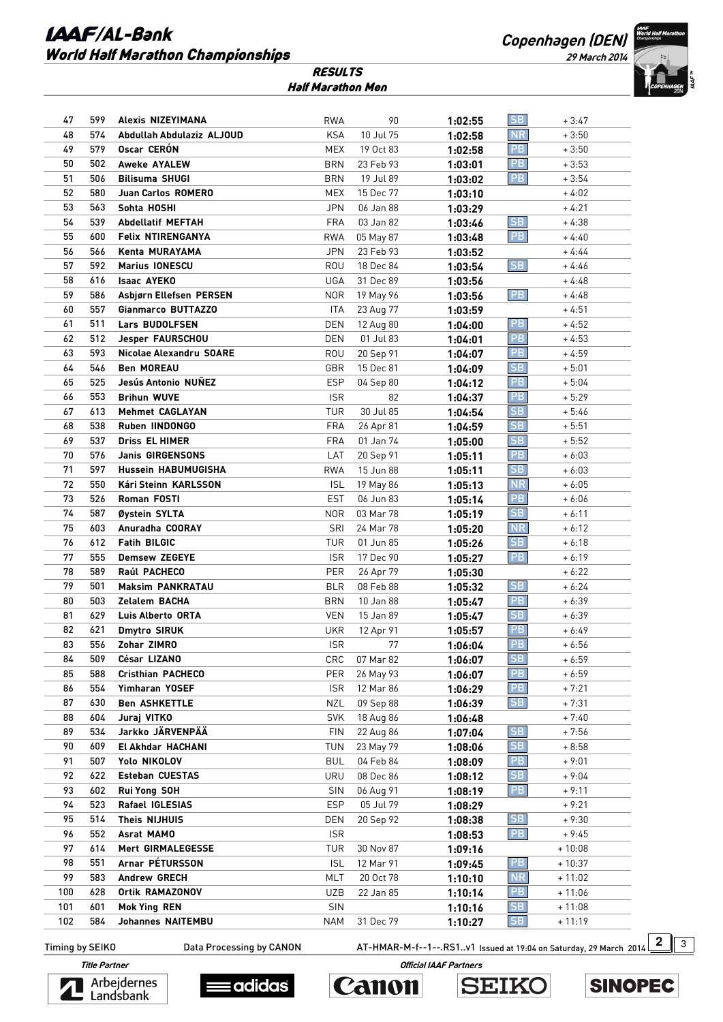#### **LAAF/AL-Bank** World Half Marathon Championships

**Copenhagen (DEN)** 

**29 March 2014** 



| <b>RESULTS</b>    |  |
|-------------------|--|
| Half Marathon Men |  |

| 47  | 599 | Alexis NIZEYIMANA          | <b>RWA</b> | 90        | 1:02:55 | <b>SB</b>      | $+3:47$  |
|-----|-----|----------------------------|------------|-----------|---------|----------------|----------|
| 48  | 574 | Abdullah Abdulaziz ALJOUD  | <b>KSA</b> | 10 Jul 75 | 1:02:58 | NR.            | $+3:50$  |
| 49  | 579 | Oscar CERÓN                | MEX        | 19 Oct 83 | 1:02:58 | <b>PB</b>      | $+3:50$  |
| 50  | 502 | <b>Aweke AYALEW</b>        | <b>BRN</b> | 23 Feb 93 | 1:03:01 | PB             | $+3:53$  |
| 51  | 506 | <b>Bilisuma SHUGI</b>      | <b>BRN</b> | 19 Jul 89 | 1:03:02 | PB             | $+3:54$  |
| 52  | 580 | Juan Carlos ROMERO         | MEX        | 15 Dec 77 | 1:03:10 |                | + 4:02   |
| 53  | 563 | Sohta HOSHI                | <b>JPN</b> | 06 Jan 88 | 1:03:29 |                | $+4:21$  |
| 54  | 539 | <b>Abdellatif MEFTAH</b>   | <b>FRA</b> | 03 Jan 82 | 1:03:46 | SB             | $+4:38$  |
| 55  | 600 | <b>Felix NTIRENGANYA</b>   | <b>RWA</b> | 05 May 87 | 1:03:48 | PB             | $+4:40$  |
| 56  | 566 | Kenta MURAYAMA             | <b>JPN</b> | 23 Feb 93 | 1:03:52 |                | $+4:44$  |
| 57  | 592 | <b>Marius IONESCU</b>      | ROU        | 18 Dec 84 | 1:03:54 | SB             | $+4:46$  |
| 58  | 616 | <b>Isaac AYEKO</b>         | UGA        | 31 Dec 89 | 1:03:56 |                | $+4:48$  |
| 59  | 586 | Asbjørn Ellefsen PERSEN    | <b>NOR</b> | 19 May 96 | 1:03:56 | PB             | $+4:48$  |
| 60  | 557 | Gianmarco BUTTAZZO         | ITA        | 23 Aug 77 | 1:03:59 |                | + 4:51   |
| 61  | 511 | Lars BUDOLFSEN             | DEN        | 12 Aug 80 | 1:04:00 | PB             | + 4:52   |
| 62  | 512 | Jesper FAURSCHOU           | DEN        | 01 Jul 83 | 1:04:01 | PB             | $+4:53$  |
| 63  | 593 | Nicolae Alexandru SOARE    | <b>ROU</b> | 20 Sep 91 | 1:04:07 | PB             | + 4:59   |
| 64  | 546 | <b>Ben MOREAU</b>          | GBR        | 15 Dec 81 | 1:04:09 | <b>SB</b>      | $+5:01$  |
| 65  | 525 | Jesús Antonio NUÑEZ        | <b>ESP</b> | 04 Sep 80 | 1:04:12 | PB             | $+5:04$  |
| 66  | 553 | <b>Brihun WUVE</b>         | <b>ISR</b> | 82        | 1:04:37 | PB.            | $+5:29$  |
| 67  | 613 | <b>Mehmet CAGLAYAN</b>     | TUR        | 30 Jul 85 |         | SB             | $+5:46$  |
| 68  | 538 | <b>Ruben IINDONGO</b>      | <b>FRA</b> | 26 Apr 81 | 1:04:54 | <b>SB</b>      | $+5:51$  |
| 69  | 537 | Driss EL HIMER             | <b>FRA</b> | 01 Jan 74 | 1:04:59 | <b>SB</b>      | $+5:52$  |
| 70  | 576 | Janis GIRGENSONS           | LAT        |           | 1:05:00 | PB.            | $+6:03$  |
| 71  |     |                            |            | 20 Sep 91 | 1:05:11 | SB             |          |
| 72  | 597 | <b>Hussein HABUMUGISHA</b> | <b>RWA</b> | 15 Jun 88 | 1:05:11 | NR.            | $+6:03$  |
|     | 550 | Kári Steinn KARLSSON       | <b>ISL</b> | 19 May 86 | 1:05:13 |                | + 6:05   |
| 73  | 526 | Roman FOSTI                | <b>EST</b> | 06 Jun 83 | 1:05:14 | PB<br>SB       | $+6:06$  |
| 74  | 587 | Øystein SYLTA              | <b>NOR</b> | 03 Mar 78 | 1:05:19 |                | $+6:11$  |
| 75  | 603 | Anuradha COORAY            | SRI        | 24 Mar 78 | 1:05:20 | N <sub>R</sub> | $+6:12$  |
| 76  | 612 | <b>Fatih BILGIC</b>        | TUR        | 01 Jun 85 | 1:05:26 | SB             | + 6:18   |
| 77  | 555 | <b>Demsew ZEGEYE</b>       | <b>ISR</b> | 17 Dec 90 | 1:05:27 | PB             | $+6:19$  |
| 78  | 589 | Raúl PACHECO               | PER        | 26 Apr 79 | 1:05:30 |                | $+6:22$  |
| 79  | 501 | <b>Maksim PANKRATAU</b>    | <b>BLR</b> | 08 Feb 88 | 1:05:32 | SB             | $+6:24$  |
| 80  | 503 | Zelalem BACHA              | <b>BRN</b> | 10 Jan 88 | 1:05:47 | PB             | $+6:39$  |
| 81  | 629 | <b>Luis Alberto ORTA</b>   | VEN        | 15 Jan 89 | 1:05:47 | SB             | $+6:39$  |
| 82  | 621 | <b>Dmytro SIRUK</b>        | <b>UKR</b> | 12 Apr 91 | 1:05:57 | PB.            | $+6:49$  |
| 83  | 556 | Zohar ZIMRO                | <b>ISR</b> | 77        | 1:06:04 | PB             | $+6:56$  |
| 84  | 509 | César LIZANO               | CRC        | 07 Mar 82 | 1:06:07 | SB             | $+6:59$  |
| 85  | 588 | Cristhian PACHECO          | PER        | 26 May 93 | 1:06:07 | PB             | $+6:59$  |
| 86  | 554 | Yimharan YOSEF             | <b>ISR</b> | 12 Mar 86 | 1:06:29 | PB             | $+7:21$  |
| 87  | 630 | <b>Ben ASHKETTLE</b>       | NZL        | 09 Sep 88 | 1:06:39 | <b>SB</b>      | $+7:31$  |
| 88  | 604 | Juraj VITKO                | <b>SVK</b> | 18 Aug 86 | 1:06:48 |                | $+7:40$  |
| 89  | 534 | Jarkko JÄRVENPÄÄ           | <b>FIN</b> | 22 Aug 86 | 1:07:04 | <b>SB</b>      | $+7:56$  |
| 90  | 609 | El Akhdar HACHANI          | TUN        | 23 May 79 | 1:08:06 | SB             | $+8:58$  |
| 91  | 507 | Yolo NIKOLOV               | <b>BUL</b> | 04 Feb 84 | 1:08:09 | PB             | $+9:01$  |
| 92  | 622 | Esteban CUESTAS            | URU        | 08 Dec 86 | 1:08:12 | <b>SB</b>      | $+9:04$  |
| 93  | 602 | Rui Yong SOH               | SIN        | 06 Aug 91 | 1:08:19 | PB             | $+9:11$  |
| 94  | 523 | Rafael IGLESIAS            | ESP        | 05 Jul 79 | 1:08:29 |                | $+9:21$  |
| 95  | 514 | Theis NIJHUIS              | DEN        | 20 Sep 92 | 1:08:38 | SB             | $+9:30$  |
| 96  | 552 | Asrat MAMO                 | <b>ISR</b> |           | 1:08:53 | PB             | $+9:45$  |
| 97  | 614 | Mert GIRMALEGESSE          | TUR        | 30 Nov 87 | 1:09:16 |                | $+10:08$ |
| 98  | 551 | Arnar PÉTURSSON            | <b>ISL</b> | 12 Mar 91 | 1:09:45 | PB             | $+10:37$ |
| 99  | 583 | Andrew GRECH               | <b>MLT</b> | 20 Oct 78 | 1:10:10 | <b>NR</b>      | $+11:02$ |
| 100 | 628 | <b>Ortik RAMAZONOV</b>     | UZB        | 22 Jan 85 | 1:10:14 | PB             | $+11:06$ |
| 101 | 601 | <b>Mok Ying REN</b>        | SIN        |           | 1:10:16 | SB             | $+11:08$ |
| 102 | 584 | <b>Johannes NAITEMBU</b>   | <b>NAM</b> | 31 Dec 79 | 1:10:27 | <b>SB</b>      | $+11:19$ |

Timing by SEIKO **Data Processing by CANON** AT-HMAR-M-f--1--.RS1..v1 Issued at 19:04 on Saturday, 29 March 2014 2 3